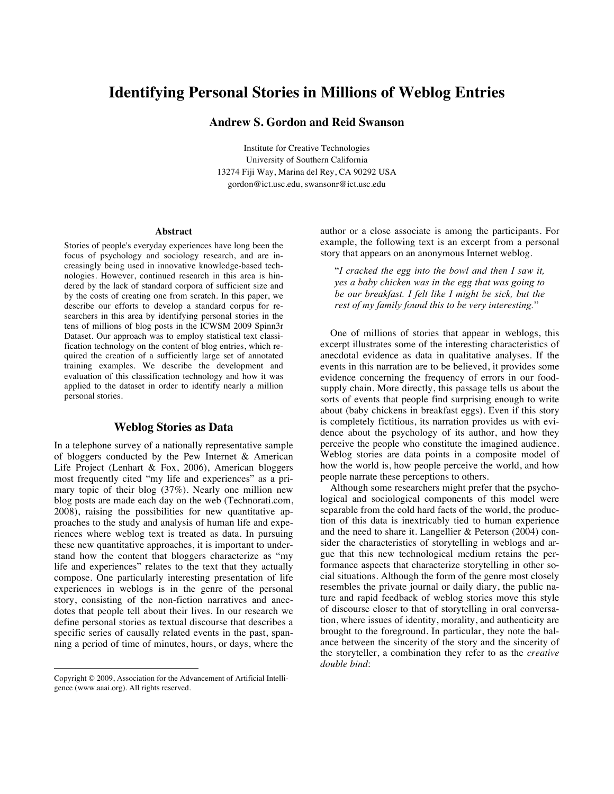# **Identifying Personal Stories in Millions of Weblog Entries**

# **Andrew S. Gordon and Reid Swanson**

Institute for Creative Technologies University of Southern California 13274 Fiji Way, Marina del Rey, CA 90292 USA gordon@ict.usc.edu, swansonr@ict.usc.edu

#### **Abstract**

Stories of people's everyday experiences have long been the focus of psychology and sociology research, and are increasingly being used in innovative knowledge-based technologies. However, continued research in this area is hindered by the lack of standard corpora of sufficient size and by the costs of creating one from scratch. In this paper, we describe our efforts to develop a standard corpus for researchers in this area by identifying personal stories in the tens of millions of blog posts in the ICWSM 2009 Spinn3r Dataset. Our approach was to employ statistical text classification technology on the content of blog entries, which required the creation of a sufficiently large set of annotated training examples. We describe the development and evaluation of this classification technology and how it was applied to the dataset in order to identify nearly a million personal stories.

#### **Weblog Stories as Data**

In a telephone survey of a nationally representative sample of bloggers conducted by the Pew Internet & American Life Project (Lenhart & Fox, 2006), American bloggers most frequently cited "my life and experiences" as a primary topic of their blog (37%). Nearly one million new blog posts are made each day on the web (Technorati.com, 2008), raising the possibilities for new quantitative approaches to the study and analysis of human life and experiences where weblog text is treated as data. In pursuing these new quantitative approaches, it is important to understand how the content that bloggers characterize as "my life and experiences" relates to the text that they actually compose. One particularly interesting presentation of life experiences in weblogs is in the genre of the personal story, consisting of the non-fiction narratives and anecdotes that people tell about their lives. In our research we define personal stories as textual discourse that describes a specific series of causally related events in the past, spanning a period of time of minutes, hours, or days, where the

 $\overline{a}$ 

author or a close associate is among the participants. For example, the following text is an excerpt from a personal story that appears on an anonymous Internet weblog.

"*I cracked the egg into the bowl and then I saw it, yes a baby chicken was in the egg that was going to be our breakfast. I felt like I might be sick, but the rest of my family found this to be very interesting.*"

One of millions of stories that appear in weblogs, this excerpt illustrates some of the interesting characteristics of anecdotal evidence as data in qualitative analyses. If the events in this narration are to be believed, it provides some evidence concerning the frequency of errors in our foodsupply chain. More directly, this passage tells us about the sorts of events that people find surprising enough to write about (baby chickens in breakfast eggs). Even if this story is completely fictitious, its narration provides us with evidence about the psychology of its author, and how they perceive the people who constitute the imagined audience. Weblog stories are data points in a composite model of how the world is, how people perceive the world, and how people narrate these perceptions to others.

Although some researchers might prefer that the psychological and sociological components of this model were separable from the cold hard facts of the world, the production of this data is inextricably tied to human experience and the need to share it. Langellier & Peterson (2004) consider the characteristics of storytelling in weblogs and argue that this new technological medium retains the performance aspects that characterize storytelling in other social situations. Although the form of the genre most closely resembles the private journal or daily diary, the public nature and rapid feedback of weblog stories move this style of discourse closer to that of storytelling in oral conversation, where issues of identity, morality, and authenticity are brought to the foreground. In particular, they note the balance between the sincerity of the story and the sincerity of the storyteller, a combination they refer to as the *creative double bind*:

Copyright © 2009, Association for the Advancement of Artificial Intelligence (www.aaai.org). All rights reserved.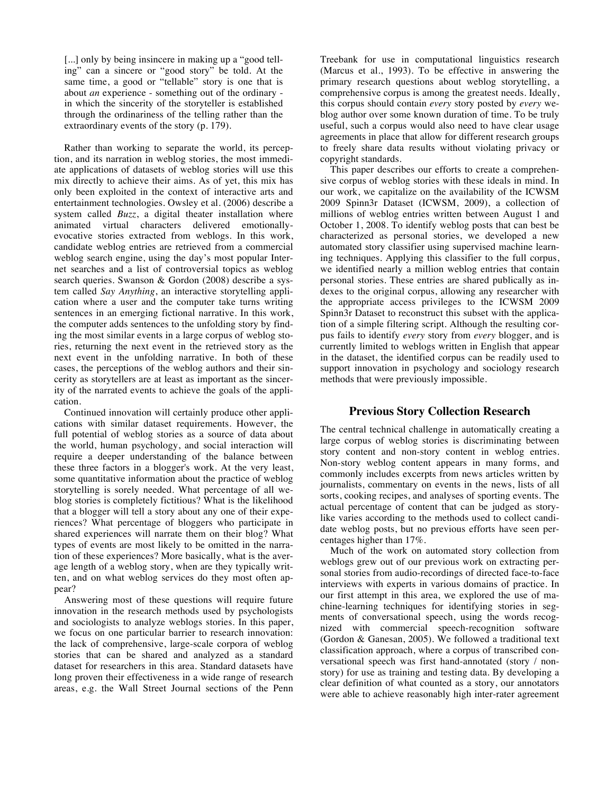[...] only by being insincere in making up a "good telling" can a sincere or "good story" be told. At the same time, a good or "tellable" story is one that is about *an* experience - something out of the ordinary in which the sincerity of the storyteller is established through the ordinariness of the telling rather than the extraordinary events of the story (p. 179).

Rather than working to separate the world, its perception, and its narration in weblog stories, the most immediate applications of datasets of weblog stories will use this mix directly to achieve their aims. As of yet, this mix has only been exploited in the context of interactive arts and entertainment technologies. Owsley et al. (2006) describe a system called *Buzz*, a digital theater installation where animated virtual characters delivered emotionallyevocative stories extracted from weblogs. In this work, candidate weblog entries are retrieved from a commercial weblog search engine, using the day's most popular Internet searches and a list of controversial topics as weblog search queries. Swanson & Gordon (2008) describe a system called *Say Anything*, an interactive storytelling application where a user and the computer take turns writing sentences in an emerging fictional narrative. In this work, the computer adds sentences to the unfolding story by finding the most similar events in a large corpus of weblog stories, returning the next event in the retrieved story as the next event in the unfolding narrative. In both of these cases, the perceptions of the weblog authors and their sincerity as storytellers are at least as important as the sincerity of the narrated events to achieve the goals of the application.

Continued innovation will certainly produce other applications with similar dataset requirements. However, the full potential of weblog stories as a source of data about the world, human psychology, and social interaction will require a deeper understanding of the balance between these three factors in a blogger's work. At the very least, some quantitative information about the practice of weblog storytelling is sorely needed. What percentage of all weblog stories is completely fictitious? What is the likelihood that a blogger will tell a story about any one of their experiences? What percentage of bloggers who participate in shared experiences will narrate them on their blog? What types of events are most likely to be omitted in the narration of these experiences? More basically, what is the average length of a weblog story, when are they typically written, and on what weblog services do they most often appear?

Answering most of these questions will require future innovation in the research methods used by psychologists and sociologists to analyze weblogs stories. In this paper, we focus on one particular barrier to research innovation: the lack of comprehensive, large-scale corpora of weblog stories that can be shared and analyzed as a standard dataset for researchers in this area. Standard datasets have long proven their effectiveness in a wide range of research areas, e.g. the Wall Street Journal sections of the Penn Treebank for use in computational linguistics research (Marcus et al., 1993). To be effective in answering the primary research questions about weblog storytelling, a comprehensive corpus is among the greatest needs. Ideally, this corpus should contain *every* story posted by *every* weblog author over some known duration of time. To be truly useful, such a corpus would also need to have clear usage agreements in place that allow for different research groups to freely share data results without violating privacy or copyright standards.

This paper describes our efforts to create a comprehensive corpus of weblog stories with these ideals in mind. In our work, we capitalize on the availability of the ICWSM 2009 Spinn3r Dataset (ICWSM, 2009), a collection of millions of weblog entries written between August 1 and October 1, 2008. To identify weblog posts that can best be characterized as personal stories, we developed a new automated story classifier using supervised machine learning techniques. Applying this classifier to the full corpus, we identified nearly a million weblog entries that contain personal stories. These entries are shared publically as indexes to the original corpus, allowing any researcher with the appropriate access privileges to the ICWSM 2009 Spinn3r Dataset to reconstruct this subset with the application of a simple filtering script. Although the resulting corpus fails to identify *every* story from *every* blogger, and is currently limited to weblogs written in English that appear in the dataset, the identified corpus can be readily used to support innovation in psychology and sociology research methods that were previously impossible.

#### **Previous Story Collection Research**

The central technical challenge in automatically creating a large corpus of weblog stories is discriminating between story content and non-story content in weblog entries. Non-story weblog content appears in many forms, and commonly includes excerpts from news articles written by journalists, commentary on events in the news, lists of all sorts, cooking recipes, and analyses of sporting events. The actual percentage of content that can be judged as storylike varies according to the methods used to collect candidate weblog posts, but no previous efforts have seen percentages higher than 17%.

Much of the work on automated story collection from weblogs grew out of our previous work on extracting personal stories from audio-recordings of directed face-to-face interviews with experts in various domains of practice. In our first attempt in this area, we explored the use of machine-learning techniques for identifying stories in segments of conversational speech, using the words recognized with commercial speech-recognition software (Gordon & Ganesan, 2005). We followed a traditional text classification approach, where a corpus of transcribed conversational speech was first hand-annotated (story / nonstory) for use as training and testing data. By developing a clear definition of what counted as a story, our annotators were able to achieve reasonably high inter-rater agreement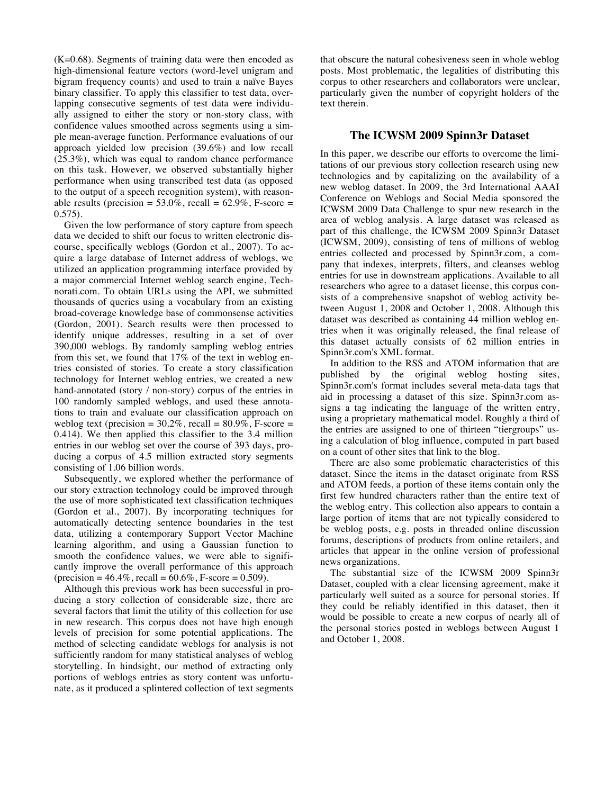(K=0.68). Segments of training data were then encoded as high-dimensional feature vectors (word-level unigram and bigram frequency counts) and used to train a naïve Bayes binary classifier. To apply this classifier to test data, overlapping consecutive segments of test data were individually assigned to either the story or non-story class, with confidence values smoothed across segments using a simple mean-average function. Performance evaluations of our approach yielded low precision (39.6%) and low recall (25.3%), which was equal to random chance performance on this task. However, we observed substantially higher performance when using transcribed test data (as opposed to the output of a speech recognition system), with reasonable results (precision =  $53.0\%$ , recall =  $62.9\%$ , F-score = 0.575).

Given the low performance of story capture from speech data we decided to shift our focus to written electronic discourse, specifically weblogs (Gordon et al., 2007). To acquire a large database of Internet address of weblogs, we utilized an application programming interface provided by a major commercial Internet weblog search engine, Technorati.com. To obtain URLs using the API, we submitted thousands of queries using a vocabulary from an existing broad-coverage knowledge base of commonsense activities (Gordon, 2001). Search results were then processed to identify unique addresses, resulting in a set of over 390,000 weblogs. By randomly sampling weblog entries from this set, we found that 17% of the text in weblog entries consisted of stories. To create a story classification technology for Internet weblog entries, we created a new hand-annotated (story / non-story) corpus of the entries in 100 randomly sampled weblogs, and used these annotations to train and evaluate our classification approach on weblog text (precision =  $30.2\%$ , recall =  $80.9\%$ , F-score = 0.414). We then applied this classifier to the 3.4 million entries in our weblog set over the course of 393 days, producing a corpus of 4.5 million extracted story segments consisting of 1.06 billion words.

Subsequently, we explored whether the performance of our story extraction technology could be improved through the use of more sophisticated text classification techniques (Gordon et al., 2007). By incorporating techniques for automatically detecting sentence boundaries in the test data, utilizing a contemporary Support Vector Machine learning algorithm, and using a Gaussian function to smooth the confidence values, we were able to significantly improve the overall performance of this approach  $(precision = 46.4\%, recall = 60.6\%, F-score = 0.509).$ 

Although this previous work has been successful in producing a story collection of considerable size, there are several factors that limit the utility of this collection for use in new research. This corpus does not have high enough levels of precision for some potential applications. The method of selecting candidate weblogs for analysis is not sufficiently random for many statistical analyses of weblog storytelling. In hindsight, our method of extracting only portions of weblogs entries as story content was unfortunate, as it produced a splintered collection of text segments that obscure the natural cohesiveness seen in whole weblog posts. Most problematic, the legalities of distributing this corpus to other researchers and collaborators were unclear, particularly given the number of copyright holders of the text therein.

#### **The ICWSM 2009 Spinn3r Dataset**

In this paper, we describe our efforts to overcome the limitations of our previous story collection research using new technologies and by capitalizing on the availability of a new weblog dataset. In 2009, the 3rd International AAAI Conference on Weblogs and Social Media sponsored the ICWSM 2009 Data Challenge to spur new research in the area of weblog analysis. A large dataset was released as part of this challenge, the ICWSM 2009 Spinn3r Dataset (ICWSM, 2009), consisting of tens of millions of weblog entries collected and processed by Spinn3r.com, a company that indexes, interprets, filters, and cleanses weblog entries for use in downstream applications. Available to all researchers who agree to a dataset license, this corpus consists of a comprehensive snapshot of weblog activity between August 1, 2008 and October 1, 2008. Although this dataset was described as containing 44 million weblog entries when it was originally released, the final release of this dataset actually consists of 62 million entries in Spinn3r.com's XML format.

In addition to the RSS and ATOM information that are published by the original weblog hosting sites, Spinn3r.com's format includes several meta-data tags that aid in processing a dataset of this size. Spinn3r.com assigns a tag indicating the language of the written entry, using a proprietary mathematical model. Roughly a third of the entries are assigned to one of thirteen "tiergroups" using a calculation of blog influence, computed in part based on a count of other sites that link to the blog.

There are also some problematic characteristics of this dataset. Since the items in the dataset originate from RSS and ATOM feeds, a portion of these items contain only the first few hundred characters rather than the entire text of the weblog entry. This collection also appears to contain a large portion of items that are not typically considered to be weblog posts, e.g. posts in threaded online discussion forums, descriptions of products from online retailers, and articles that appear in the online version of professional news organizations.

The substantial size of the ICWSM 2009 Spinn3r Dataset, coupled with a clear licensing agreement, make it particularly well suited as a source for personal stories. If they could be reliably identified in this dataset, then it would be possible to create a new corpus of nearly all of the personal stories posted in weblogs between August 1 and October 1, 2008.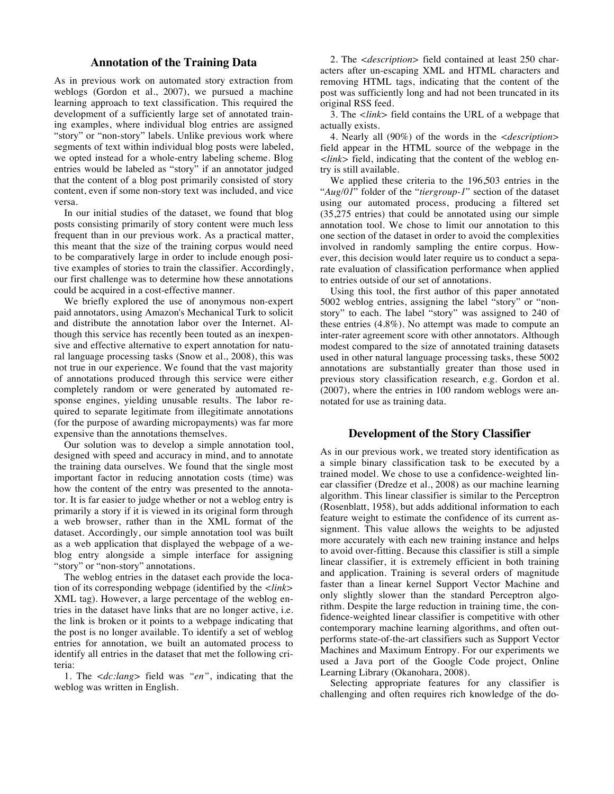### **Annotation of the Training Data**

As in previous work on automated story extraction from weblogs (Gordon et al., 2007), we pursued a machine learning approach to text classification. This required the development of a sufficiently large set of annotated training examples, where individual blog entries are assigned "story" or "non-story" labels. Unlike previous work where segments of text within individual blog posts were labeled, we opted instead for a whole-entry labeling scheme. Blog entries would be labeled as "story" if an annotator judged that the content of a blog post primarily consisted of story content, even if some non-story text was included, and vice versa.

In our initial studies of the dataset, we found that blog posts consisting primarily of story content were much less frequent than in our previous work. As a practical matter, this meant that the size of the training corpus would need to be comparatively large in order to include enough positive examples of stories to train the classifier. Accordingly, our first challenge was to determine how these annotations could be acquired in a cost-effective manner.

We briefly explored the use of anonymous non-expert paid annotators, using Amazon's Mechanical Turk to solicit and distribute the annotation labor over the Internet. Although this service has recently been touted as an inexpensive and effective alternative to expert annotation for natural language processing tasks (Snow et al., 2008), this was not true in our experience. We found that the vast majority of annotations produced through this service were either completely random or were generated by automated response engines, yielding unusable results. The labor required to separate legitimate from illegitimate annotations (for the purpose of awarding micropayments) was far more expensive than the annotations themselves.

Our solution was to develop a simple annotation tool, designed with speed and accuracy in mind, and to annotate the training data ourselves. We found that the single most important factor in reducing annotation costs (time) was how the content of the entry was presented to the annotator. It is far easier to judge whether or not a weblog entry is primarily a story if it is viewed in its original form through a web browser, rather than in the XML format of the dataset. Accordingly, our simple annotation tool was built as a web application that displayed the webpage of a weblog entry alongside a simple interface for assigning "story" or "non-story" annotations.

The weblog entries in the dataset each provide the location of its corresponding webpage (identified by the *<link>* XML tag). However, a large percentage of the weblog entries in the dataset have links that are no longer active, i.e. the link is broken or it points to a webpage indicating that the post is no longer available. To identify a set of weblog entries for annotation, we built an automated process to identify all entries in the dataset that met the following criteria:

1. The *<dc:lang>* field was *"en"*, indicating that the weblog was written in English.

2. The *<description>* field contained at least 250 characters after un-escaping XML and HTML characters and removing HTML tags, indicating that the content of the post was sufficiently long and had not been truncated in its original RSS feed.

3. The *<link>* field contains the URL of a webpage that actually exists.

4. Nearly all (90%) of the words in the *<description>* field appear in the HTML source of the webpage in the *<link>* field, indicating that the content of the weblog entry is still available.

We applied these criteria to the 196,503 entries in the "*Aug/01*" folder of the "*tiergroup-1*" section of the dataset using our automated process, producing a filtered set (35,275 entries) that could be annotated using our simple annotation tool. We chose to limit our annotation to this one section of the dataset in order to avoid the complexities involved in randomly sampling the entire corpus. However, this decision would later require us to conduct a separate evaluation of classification performance when applied to entries outside of our set of annotations.

Using this tool, the first author of this paper annotated 5002 weblog entries, assigning the label "story" or "nonstory" to each. The label "story" was assigned to 240 of these entries (4.8%). No attempt was made to compute an inter-rater agreement score with other annotators. Although modest compared to the size of annotated training datasets used in other natural language processing tasks, these 5002 annotations are substantially greater than those used in previous story classification research, e.g. Gordon et al. (2007), where the entries in 100 random weblogs were annotated for use as training data.

#### **Development of the Story Classifier**

As in our previous work, we treated story identification as a simple binary classification task to be executed by a trained model. We chose to use a confidence-weighted linear classifier (Dredze et al., 2008) as our machine learning algorithm. This linear classifier is similar to the Perceptron (Rosenblatt, 1958), but adds additional information to each feature weight to estimate the confidence of its current assignment. This value allows the weights to be adjusted more accurately with each new training instance and helps to avoid over-fitting. Because this classifier is still a simple linear classifier, it is extremely efficient in both training and application. Training is several orders of magnitude faster than a linear kernel Support Vector Machine and only slightly slower than the standard Perceptron algorithm. Despite the large reduction in training time, the confidence-weighted linear classifier is competitive with other contemporary machine learning algorithms, and often outperforms state-of-the-art classifiers such as Support Vector Machines and Maximum Entropy. For our experiments we used a Java port of the Google Code project, Online Learning Library (Okanohara, 2008).

Selecting appropriate features for any classifier is challenging and often requires rich knowledge of the do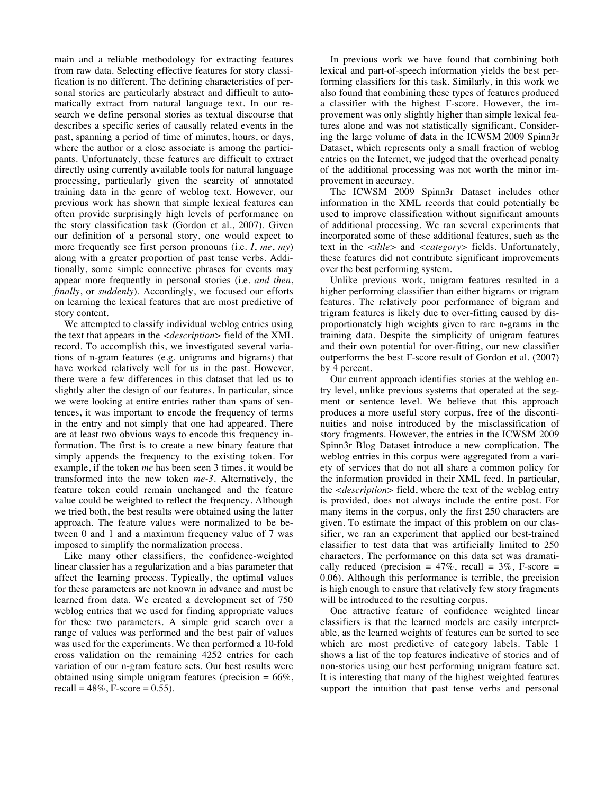main and a reliable methodology for extracting features from raw data. Selecting effective features for story classification is no different. The defining characteristics of personal stories are particularly abstract and difficult to automatically extract from natural language text. In our research we define personal stories as textual discourse that describes a specific series of causally related events in the past, spanning a period of time of minutes, hours, or days, where the author or a close associate is among the participants. Unfortunately, these features are difficult to extract directly using currently available tools for natural language processing, particularly given the scarcity of annotated training data in the genre of weblog text. However, our previous work has shown that simple lexical features can often provide surprisingly high levels of performance on the story classification task (Gordon et al., 2007). Given our definition of a personal story, one would expect to more frequently see first person pronouns (i.e. *I*, *me*, *my*) along with a greater proportion of past tense verbs. Additionally, some simple connective phrases for events may appear more frequently in personal stories (i.e. *and then*, *finally*, or *suddenly*). Accordingly, we focused our efforts on learning the lexical features that are most predictive of story content.

We attempted to classify individual weblog entries using the text that appears in the *<description>* field of the XML record. To accomplish this, we investigated several variations of n-gram features (e.g. unigrams and bigrams) that have worked relatively well for us in the past. However, there were a few differences in this dataset that led us to slightly alter the design of our features. In particular, since we were looking at entire entries rather than spans of sentences, it was important to encode the frequency of terms in the entry and not simply that one had appeared. There are at least two obvious ways to encode this frequency information. The first is to create a new binary feature that simply appends the frequency to the existing token. For example, if the token *me* has been seen 3 times, it would be transformed into the new token *me-3*. Alternatively, the feature token could remain unchanged and the feature value could be weighted to reflect the frequency. Although we tried both, the best results were obtained using the latter approach. The feature values were normalized to be between 0 and 1 and a maximum frequency value of 7 was imposed to simplify the normalization process.

Like many other classifiers, the confidence-weighted linear classier has a regularization and a bias parameter that affect the learning process. Typically, the optimal values for these parameters are not known in advance and must be learned from data. We created a development set of 750 weblog entries that we used for finding appropriate values for these two parameters. A simple grid search over a range of values was performed and the best pair of values was used for the experiments. We then performed a 10-fold cross validation on the remaining 4252 entries for each variation of our n-gram feature sets. Our best results were obtained using simple unigram features (precision  $= 66\%$ , recall =  $48\%$ , F-score = 0.55).

In previous work we have found that combining both lexical and part-of-speech information yields the best performing classifiers for this task. Similarly, in this work we also found that combining these types of features produced a classifier with the highest F-score. However, the improvement was only slightly higher than simple lexical features alone and was not statistically significant. Considering the large volume of data in the ICWSM 2009 Spinn3r Dataset, which represents only a small fraction of weblog entries on the Internet, we judged that the overhead penalty of the additional processing was not worth the minor improvement in accuracy.

The ICWSM 2009 Spinn3r Dataset includes other information in the XML records that could potentially be used to improve classification without significant amounts of additional processing. We ran several experiments that incorporated some of these additional features, such as the text in the *<title>* and *<category>* fields. Unfortunately, these features did not contribute significant improvements over the best performing system.

Unlike previous work, unigram features resulted in a higher performing classifier than either bigrams or trigram features. The relatively poor performance of bigram and trigram features is likely due to over-fitting caused by disproportionately high weights given to rare n-grams in the training data. Despite the simplicity of unigram features and their own potential for over-fitting, our new classifier outperforms the best F-score result of Gordon et al. (2007) by 4 percent.

Our current approach identifies stories at the weblog entry level, unlike previous systems that operated at the segment or sentence level. We believe that this approach produces a more useful story corpus, free of the discontinuities and noise introduced by the misclassification of story fragments. However, the entries in the ICWSM 2009 Spinn3r Blog Dataset introduce a new complication. The weblog entries in this corpus were aggregated from a variety of services that do not all share a common policy for the information provided in their XML feed. In particular, the *<description>* field, where the text of the weblog entry is provided, does not always include the entire post. For many items in the corpus, only the first 250 characters are given. To estimate the impact of this problem on our classifier, we ran an experiment that applied our best-trained classifier to test data that was artificially limited to 250 characters. The performance on this data set was dramatically reduced (precision =  $47\%$ , recall =  $3\%$ , F-score = 0.06). Although this performance is terrible, the precision is high enough to ensure that relatively few story fragments will be introduced to the resulting corpus.

One attractive feature of confidence weighted linear classifiers is that the learned models are easily interpretable, as the learned weights of features can be sorted to see which are most predictive of category labels. Table 1 shows a list of the top features indicative of stories and of non-stories using our best performing unigram feature set. It is interesting that many of the highest weighted features support the intuition that past tense verbs and personal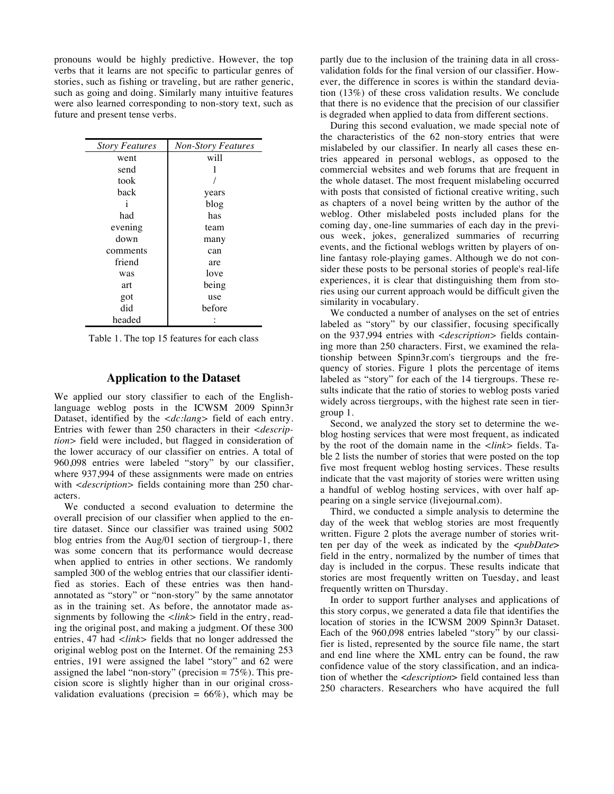pronouns would be highly predictive. However, the top verbs that it learns are not specific to particular genres of stories, such as fishing or traveling, but are rather generic, such as going and doing. Similarly many intuitive features were also learned corresponding to non-story text, such as future and present tense verbs.

| <b>Story Features</b> | <b>Non-Story Features</b> |  |
|-----------------------|---------------------------|--|
| went                  | will                      |  |
| send                  |                           |  |
| took                  |                           |  |
| back                  | years                     |  |
| i                     | blog                      |  |
| had                   | has                       |  |
| evening               | team                      |  |
| down                  | many                      |  |
| comments              | can                       |  |
| friend                | are                       |  |
| was                   | love                      |  |
| art                   | being                     |  |
| got                   | use                       |  |
| did                   | before                    |  |
| headed                |                           |  |

Table 1. The top 15 features for each class

# **Application to the Dataset**

We applied our story classifier to each of the Englishlanguage weblog posts in the ICWSM 2009 Spinn3r Dataset, identified by the *<dc:lang>* field of each entry. Entries with fewer than 250 characters in their *<description>* field were included, but flagged in consideration of the lower accuracy of our classifier on entries. A total of 960,098 entries were labeled "story" by our classifier, where 937,994 of these assignments were made on entries with *<description>* fields containing more than 250 characters.

We conducted a second evaluation to determine the overall precision of our classifier when applied to the entire dataset. Since our classifier was trained using 5002 blog entries from the Aug/01 section of tiergroup-1, there was some concern that its performance would decrease when applied to entries in other sections. We randomly sampled 300 of the weblog entries that our classifier identified as stories. Each of these entries was then handannotated as "story" or "non-story" by the same annotator as in the training set. As before, the annotator made assignments by following the *<link>* field in the entry, reading the original post, and making a judgment. Of these 300 entries, 47 had *<link>* fields that no longer addressed the original weblog post on the Internet. Of the remaining 253 entries, 191 were assigned the label "story" and 62 were assigned the label "non-story" (precision = 75%). This precision score is slightly higher than in our original crossvalidation evaluations (precision =  $66\%$ ), which may be

partly due to the inclusion of the training data in all crossvalidation folds for the final version of our classifier. However, the difference in scores is within the standard deviation (13%) of these cross validation results. We conclude that there is no evidence that the precision of our classifier is degraded when applied to data from different sections.

During this second evaluation, we made special note of the characteristics of the 62 non-story entries that were mislabeled by our classifier. In nearly all cases these entries appeared in personal weblogs, as opposed to the commercial websites and web forums that are frequent in the whole dataset. The most frequent mislabeling occurred with posts that consisted of fictional creative writing, such as chapters of a novel being written by the author of the weblog. Other mislabeled posts included plans for the coming day, one-line summaries of each day in the previous week, jokes, generalized summaries of recurring events, and the fictional weblogs written by players of online fantasy role-playing games. Although we do not consider these posts to be personal stories of people's real-life experiences, it is clear that distinguishing them from stories using our current approach would be difficult given the similarity in vocabulary.

We conducted a number of analyses on the set of entries labeled as "story" by our classifier, focusing specifically on the 937,994 entries with *<description>* fields containing more than 250 characters. First, we examined the relationship between Spinn3r.com's tiergroups and the frequency of stories. Figure 1 plots the percentage of items labeled as "story" for each of the 14 tiergroups. These results indicate that the ratio of stories to weblog posts varied widely across tiergroups, with the highest rate seen in tiergroup 1.

Second, we analyzed the story set to determine the weblog hosting services that were most frequent, as indicated by the root of the domain name in the *<link>* fields. Table 2 lists the number of stories that were posted on the top five most frequent weblog hosting services. These results indicate that the vast majority of stories were written using a handful of weblog hosting services, with over half appearing on a single service (livejournal.com).

Third, we conducted a simple analysis to determine the day of the week that weblog stories are most frequently written. Figure 2 plots the average number of stories written per day of the week as indicated by the <*pubDate*> field in the entry, normalized by the number of times that day is included in the corpus. These results indicate that stories are most frequently written on Tuesday, and least frequently written on Thursday.

In order to support further analyses and applications of this story corpus, we generated a data file that identifies the location of stories in the ICWSM 2009 Spinn3r Dataset. Each of the 960,098 entries labeled "story" by our classifier is listed, represented by the source file name, the start and end line where the XML entry can be found, the raw confidence value of the story classification, and an indication of whether the <*description*> field contained less than 250 characters. Researchers who have acquired the full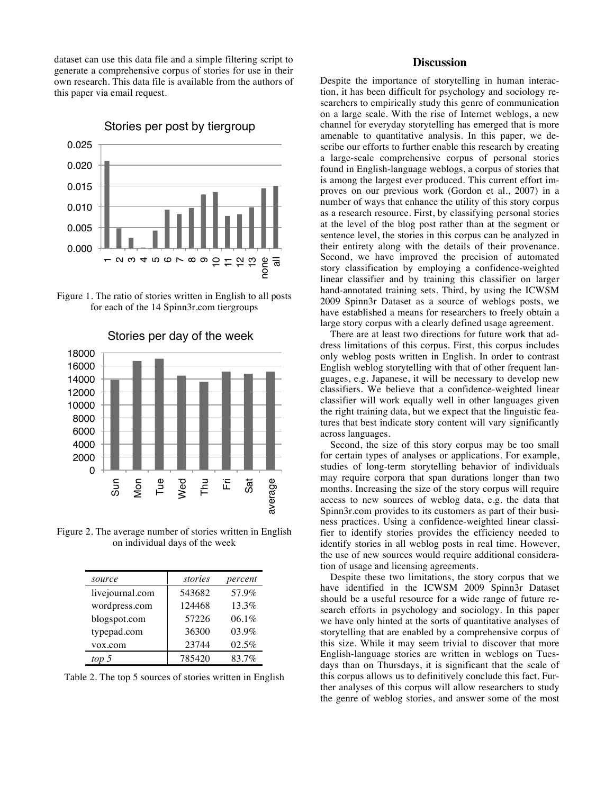dataset can use this data file and a simple filtering script to generate a comprehensive corpus of stories for use in their own research. This data file is available from the authors of this paper via email request.



# Stories per post by tiergroup

Figure 1. The ratio of stories written in English to all posts for each of the 14 Spinn3r.com tiergroups



Stories per day of the week

Figure 2. The average number of stories written in English on individual days of the week

| source          | stories | percent |
|-----------------|---------|---------|
| livejournal.com | 543682  | 57.9%   |
| wordpress.com   | 124468  | 13.3%   |
| blogspot.com    | 57226   | 06.1%   |
| typepad.com     | 36300   | 03.9%   |
| vox.com         | 23744   | 02.5%   |
| top 5           | 785420  | 83.7%   |

Table 2. The top 5 sources of stories written in English

# **Discussion**

Despite the importance of storytelling in human interaction, it has been difficult for psychology and sociology researchers to empirically study this genre of communication on a large scale. With the rise of Internet weblogs, a new channel for everyday storytelling has emerged that is more amenable to quantitative analysis. In this paper, we describe our efforts to further enable this research by creating a large-scale comprehensive corpus of personal stories found in English-language weblogs, a corpus of stories that is among the largest ever produced. This current effort improves on our previous work (Gordon et al., 2007) in a number of ways that enhance the utility of this story corpus as a research resource. First, by classifying personal stories at the level of the blog post rather than at the segment or sentence level, the stories in this corpus can be analyzed in their entirety along with the details of their provenance. Second, we have improved the precision of automated story classification by employing a confidence-weighted linear classifier and by training this classifier on larger hand-annotated training sets. Third, by using the ICWSM 2009 Spinn3r Dataset as a source of weblogs posts, we have established a means for researchers to freely obtain a large story corpus with a clearly defined usage agreement.

There are at least two directions for future work that address limitations of this corpus. First, this corpus includes only weblog posts written in English. In order to contrast English weblog storytelling with that of other frequent languages, e.g. Japanese, it will be necessary to develop new classifiers. We believe that a confidence-weighted linear classifier will work equally well in other languages given the right training data, but we expect that the linguistic features that best indicate story content will vary significantly across languages.

Second, the size of this story corpus may be too small for certain types of analyses or applications. For example, studies of long-term storytelling behavior of individuals may require corpora that span durations longer than two months. Increasing the size of the story corpus will require access to new sources of weblog data, e.g. the data that Spinn3r.com provides to its customers as part of their business practices. Using a confidence-weighted linear classifier to identify stories provides the efficiency needed to identify stories in all weblog posts in real time. However, the use of new sources would require additional consideration of usage and licensing agreements.

Despite these two limitations, the story corpus that we have identified in the ICWSM 2009 Spinn3r Dataset should be a useful resource for a wide range of future research efforts in psychology and sociology. In this paper we have only hinted at the sorts of quantitative analyses of storytelling that are enabled by a comprehensive corpus of this size. While it may seem trivial to discover that more English-language stories are written in weblogs on Tuesdays than on Thursdays, it is significant that the scale of this corpus allows us to definitively conclude this fact. Further analyses of this corpus will allow researchers to study the genre of weblog stories, and answer some of the most